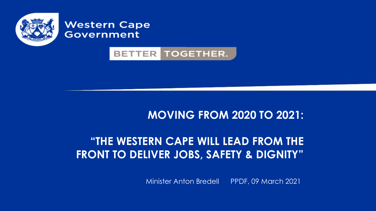

#### **Western Cape Government**

#### **BETTER TOGETHER.**

### **MOVING FROM 2020 TO 2021:**

### **"THE WESTERN CAPE WILL LEAD FROM THE FRONT TO DELIVER JOBS, SAFETY & DIGNITY"**

Minister Anton Bredell PPDF, 09 March 2021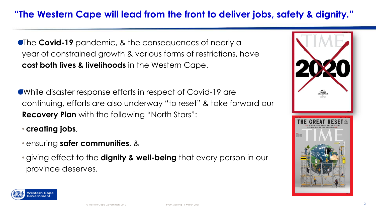**The Covid-19** pandemic, & the consequences of nearly a year of constrained growth & various forms of restrictions, have **cost both lives & livelihoods** in the Western Cape.

While disaster response efforts in respect of Covid-19 are continuing, efforts are also underway "to reset" & take forward our **Recovery Plan** with the following "North Stars":

• **creating jobs**,

- ensuring **safer communities**, &
- giving effect to the **dignity & well-being** that every person in our province deserves.



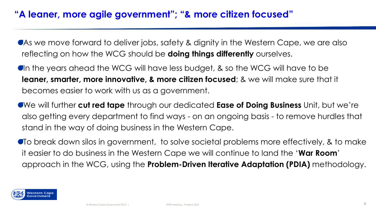As we move forward to deliver jobs, safety & dignity in the Western Cape, we are also reflecting on how the WCG should be **doing things differently** ourselves.

In the years ahead the WCG will have less budget, & so the WCG will have to be **leaner, smarter, more innovative, & more citizen focused**; & we will make sure that it becomes easier to work with us as a government.

We will further **cut red tape** through our dedicated **Ease of Doing Business** Unit, but we're also getting every department to find ways - on an ongoing basis - to remove hurdles that stand in the way of doing business in the Western Cape.

To break down silos in government, to solve societal problems more effectively, & to make it easier to do business in the Western Cape we will continue to land the '**War Room**' approach in the WCG, using the **Problem-Driven Iterative Adaptation (PDIA)** methodology.

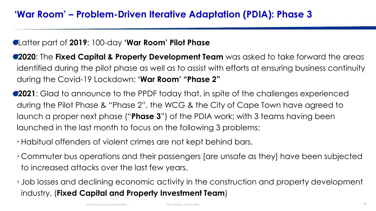#### Latter part of **2019**: 100-day **'War Room' Pilot Phase**

**2020**: The **Fixed Capital & Property Development Team** was asked to take forward the areas identified during the pilot phase as well as to assist with efforts at ensuring business continuity during the Covid-19 Lockdown: **'War Room' "Phase 2"**

**2021**: Glad to announce to the PPDF today that, in spite of the challenges experienced during the Pilot Phase & "Phase 2", the WCG & the City of Cape Town have agreed to launch a proper next phase ("**Phase 3**") of the PDIA work; with 3 teams having been launched in the last month to focus on the following 3 problems:

• Habitual offenders of violent crimes are not kept behind bars.

• Commuter bus operations and their passengers [are unsafe as they] have been subjected to increased attacks over the last few years.

• Job losses and declining economic activity in the construction and property development industry. (**Fixed Capital and Property Investment Team**)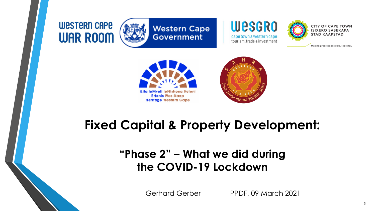**WESTERN CAPE WAR ROOM** 







Making progress possible. Together.





### **Fixed Capital & Property Development:**

### **"Phase 2" – What we did during the COVID-19 Lockdown**

Gerhard Gerber PPDF, 09 March 2021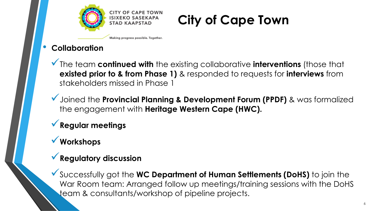



Making progress possible. Together.

#### • **Collaboration**

✓The team **continued with** the existing collaborative **interventions** (those that **existed prior to & from Phase 1)** & responded to requests for **interviews** from stakeholders missed in Phase 1

✓Joined the **Provincial Planning & Development Forum (PPDF)** & was formalized the engagement with **Heritage Western Cape (HWC).** 

### ✓**Regular meetings**

### ✓**Workshops**

### ✓**Regulatory discussion**

✓Successfully got the **WC Department of Human Settlements (DoHS)** to join the War Room team: Arranged follow up meetings/training sessions with the DoHS team & consultants/workshop of pipeline projects.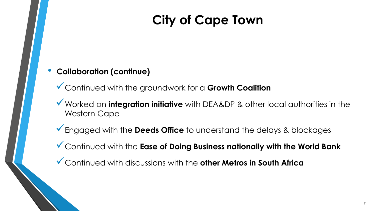#### • **Collaboration (continue)**

✓Continued with the groundwork for a **Growth Coalition**

- ✓Worked on **integration initiative** with DEA&DP & other local authorities in the Western Cape
- ✓Engaged with the **Deeds Office** to understand the delays & blockages
- ✓Continued with the **Ease of Doing Business nationally with the World Bank**
- ✓Continued with discussions with the **other Metros in South Africa**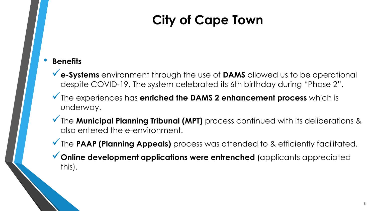#### • **Benefits**

- ✓**e-Systems** environment through the use of **DAMS** allowed us to be operational despite COVID-19. The system celebrated its 6th birthday during "Phase 2".
- ✓The experiences has **enriched the DAMS 2 enhancement process** which is underway.
- ◆ The **Municipal Planning Tribunal (MPT)** process continued with its deliberations & also entered the e-environment.
- ◆ The PAAP (Planning Appeals) process was attended to & efficiently facilitated.
- ✓**Online development applications were entrenched** (applicants appreciated this).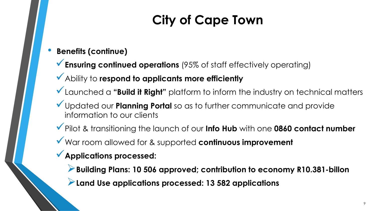- **Benefits (continue)**
	- ◆ Ensuring continued operations (95% of staff effectively operating)
	- ✓Ability to **respond to applicants more efficiently**
	- ✓Launched a **"Build it Right"** platform to inform the industry on technical matters
	- ✓Updated our **Planning Portal** so as to further communicate and provide information to our clients
	- ✓Pilot & transitioning the launch of our **Info Hub** with one **0860 contact number**
	- ✓War room allowed for & supported **continuous improvement**
	- ✓**Applications processed:**
		- ➢**Building Plans: 10 506 approved; contribution to economy R10.381-billon**
		- ➢**Land Use applications processed: 13 582 applications**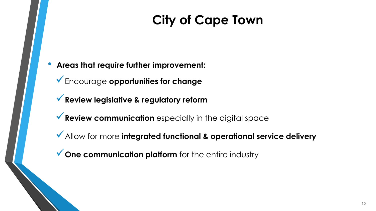- **Areas that require further improvement:**
	- ✓Encourage **opportunities for change**
	- ✓**Review legislative & regulatory reform**
	- **▼ Review communication** especially in the digital space
	- ✓Allow for more **integrated functional & operational service delivery**
	- ◆ One communication platform for the entire industry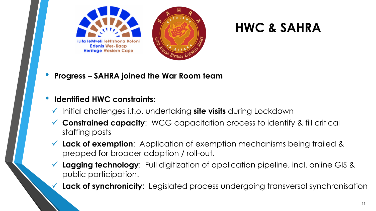

• **Progress – SAHRA joined the War Room team**

#### • **Identified HWC constraints:**

- ✓ Initial challenges i.t.o. undertaking **site visits** during Lockdown
- ✓ **Constrained capacity**: WCG capacitation process to identify & fill critical staffing posts
- ✓ **Lack of exemption**: Application of exemption mechanisms being trailed & prepped for broader adoption / roll-out.
- **Lagging technology**: Full digitization of application pipeline, incl. online GIS & public participation.
	- **Lack of synchronicity**: Legislated process undergoing transversal synchronisation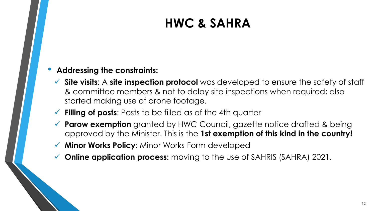#### • **Addressing the constraints:**

- ✓ **Site visits**: A **site inspection protocol** was developed to ensure the safety of staff & committee members & not to delay site inspections when required; also started making use of drone footage.
- ✓ **Filling of posts**: Posts to be filled as of the 4th quarter
- ✓ **Parow exemption** granted by HWC Council, gazette notice drafted & being approved by the Minister. This is the **1st exemption of this kind in the country!**
- **Minor Works Policy: Minor Works Form developed**
- **Online application process:** moving to the use of SAHRIS (SAHRA) 2021.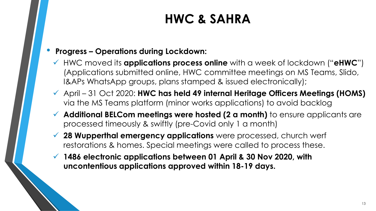#### • **Progress – Operations during Lockdown:**

- ✓ HWC moved its **applications process online** with a week of lockdown ("**eHWC**") (Applications submitted online, HWC committee meetings on MS Teams, Slido, I&APs WhatsApp groups, plans stamped & issued electronically);
- ✓ April 31 Oct 2020: **HWC has held 49 internal Heritage Officers Meetings (HOMS)**  via the MS Teams platform (minor works applications) to avoid backlog
- ✓ **Additional BELCom meetings were hosted (2 a month)** to ensure applicants are processed timeously & swiftly (pre-Covid only 1 a month)
- ✓ **28 Wupperthal emergency applications** were processed, church werf restorations & homes. Special meetings were called to process these.
- ✓ **1486 electronic applications between 01 April & 30 Nov 2020, with uncontentious applications approved within 18-19 days.**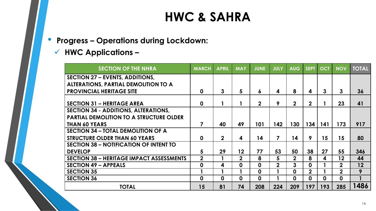- **Progress – Operations during Lockdown:**
	- ✓ **HWC Applications –**

| <b>SECTION OF THE NHRA</b>                      | <b>MARCH</b>   | <b>APRIL</b>   | <b>MAY</b>   | <b>JUNE</b>    | <b>JULY</b>    | <b>AUG</b>     | <b>SEPT</b>      | <b>OCT</b>  | <b>NOV</b>     | <b>TOTAL</b> |
|-------------------------------------------------|----------------|----------------|--------------|----------------|----------------|----------------|------------------|-------------|----------------|--------------|
| <b>SECTION 27 - EVENTS, ADDITIONS,</b>          |                |                |              |                |                |                |                  |             |                |              |
| ALTERATIONS, PARTIAL DEMOLITION TO A            |                |                |              |                |                |                |                  |             |                |              |
| <b>PROVINCIAL HERITAGE SITE</b>                 | $\mathbf 0$    | $\mathbf{3}$   | 5            | 6              | 4              | 8              | 4                | 3           | 3              | 36           |
|                                                 |                |                |              |                |                |                |                  |             |                |              |
| <b>SECTION 31 - HERITAGE AREA</b>               | $\mathbf 0$    |                |              | $\overline{2}$ | 9              | $\mathbf{2}$   | $\overline{2}$   |             | 23             | 41           |
| <b>SECTION 34 - ADDITIONS, ALTERATIONS,</b>     |                |                |              |                |                |                |                  |             |                |              |
| <b>PARTIAL DEMOLITION TO A STRUCTURE OLDER</b>  |                |                |              |                |                |                |                  |             |                |              |
| <b>THAN 60 YEARS</b>                            | 7              | 40             | 49           | 101            | 142            | 130            | 134              | 141         | 173            | 917          |
| <b>SECTION 34 - TOTAL DEMOLITION OF A</b>       |                |                |              |                |                |                |                  |             |                |              |
| <b>STRUCTURE OLDER THAN 60 YEARS</b>            | $\mathbf 0$    | $\overline{2}$ | 4            | 14             | $\overline{7}$ | 14             | 9                | 15          | 15             | 80           |
| <b>SECTION 38 - NOTIFICATION OF INTENT TO</b>   |                |                |              |                |                |                |                  |             |                |              |
| <b>DEVELOP</b>                                  | 5              | 29             | 12           | 77             | 53             | 50             | 38               | 27          | 55             | 346          |
| <b>SECTION 38 - HERITAGE IMPACT ASSESSMENTS</b> | $\overline{2}$ |                | $\mathbf{2}$ | 8              | 5              | $\overline{2}$ | 8                | 4           | 12             | 44           |
| <b>SECTION 49 - APPEALS</b>                     | $\mathbf 0$    | 4              | $\mathbf 0$  | $\mathbf 0$    | $\overline{2}$ | 3              | $\mathbf 0$      |             | $\overline{2}$ | 12           |
| <b>SECTION 35</b>                               |                |                |              | $\mathbf 0$    |                | $\mathbf 0$    | $\overline{2}$   |             | $\overline{2}$ | 9            |
| <b>SECTION 36</b>                               | $\mathbf 0$    | $\mathbf 0$    | $\mathbf 0$  | $\mathbf 0$    |                | $\mathbf 0$    | $\boldsymbol{0}$ | $\mathbf 0$ | $\mathbf 0$    |              |
| <b>TOTAL</b>                                    | 15             | 81             | 74           | 208            | 224            | 209            | 197              | 193         | 285            | 1486         |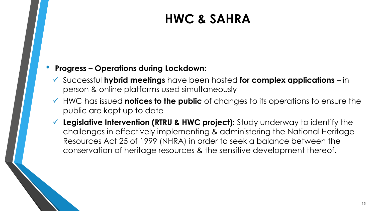#### • **Progress – Operations during Lockdown:**

- ✓ Successful **hybrid meetings** have been hosted **for complex applications**  in person & online platforms used simultaneously
- ✓ HWC has issued **notices to the public** of changes to its operations to ensure the public are kept up to date
- ✓ **Legislative Intervention (RTRU & HWC project):** Study underway to identify the challenges in effectively implementing & administering the National Heritage Resources Act 25 of 1999 (NHRA) in order to seek a balance between the conservation of heritage resources & the sensitive development thereof.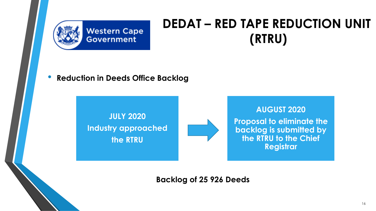

• **Reduction in Deeds Office Backlog**

**JULY 2020 Industry approached the RTRU** 



**Backlog of 25 926 Deeds**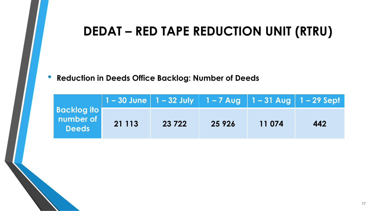• **Reduction in Deeds Office Backlog: Number of Deeds**

| <b>Backlog ito</b><br>number of<br><b>Deeds</b> | 21 1 1 3 | 23 7 22 | 25 9 26 | 11 074 | 442 |
|-------------------------------------------------|----------|---------|---------|--------|-----|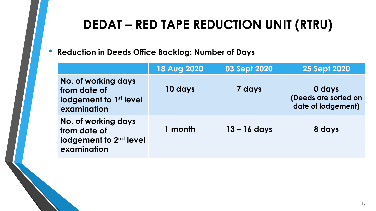#### • **Reduction in Deeds Office Backlog: Number of Days**

|                                                                                          | <b>18 Aug 2020</b> | <b>03 Sept 2020</b> | <b>25 Sept 2020</b>                                  |
|------------------------------------------------------------------------------------------|--------------------|---------------------|------------------------------------------------------|
| No. of working days<br>from date of<br>lodgement to 1 <sup>st</sup> level<br>examination | 10 days            | 7 days              | 0 days<br>(Deeds are sorted on<br>date of lodgement) |
| No. of working days<br>from date of<br>lodgement to 2 <sup>nd</sup> level<br>examination | 1 month            | $13 - 16$ days      | 8 days                                               |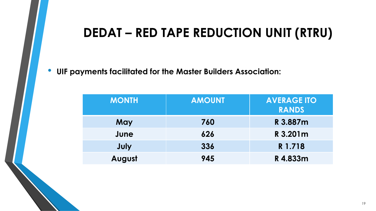• **UIF payments facilitated for the Master Builders Association:**

| <b>MONTH</b> | <b>AMOUNT</b> | <b>AVERAGE ITO</b><br><b>RANDS</b> |
|--------------|---------------|------------------------------------|
| May          | 760           | R 3.887m                           |
| June         | 626           | R 3.201m                           |
| July         | 336           | R 1.718                            |
| August       | 945           | R4.833m                            |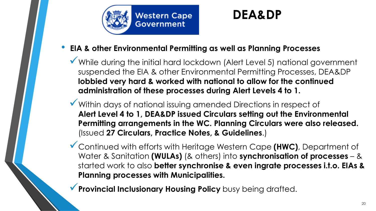

#### • **EIA & other Environmental Permitting as well as Planning Processes**

- ✓While during the initial hard lockdown (Alert Level 5) national government suspended the EIA & other Environmental Permitting Processes, DEA&DP **lobbied very hard & worked with national to allow for the continued administration of these processes during Alert Levels 4 to 1.**
- ✓Within days of national issuing amended Directions in respect of **Alert Level 4 to 1, DEA&DP issued Circulars setting out the Environmental Permitting arrangements in the WC. Planning Circulars were also released.**  (Issued **27 Circulars, Practice Notes, & Guidelines**.)
- ✓Continued with efforts with Heritage Western Cape **(HWC)**, Department of Water & Sanitation **(WULAs)** (& others) into **synchronisation of processes** – & started work to also **better synchronise & even ingrate processes i.t.o. EIAs & Planning processes with Municipalities.**
- ✓**Provincial Inclusionary Housing Policy** busy being drafted.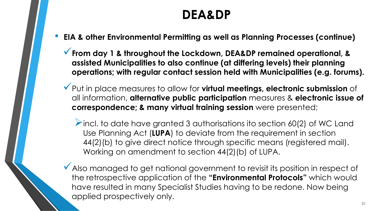- **EIA & other Environmental Permitting as well as Planning Processes (continue)**
	- ✓**From day 1 & throughout the Lockdown, DEA&DP remained operational, & assisted Municipalities to also continue (at differing levels) their planning operations; with regular contact session held with Municipalities (e.g. forums).**
	- ✓Put in place measures to allow for **virtual meetings, electronic submission** of all information, **alternative public participation** measures & **electronic issue of correspondence; & many virtual training session** were presented;
		- $\triangleright$  incl. to date have granted 3 authorisations ito section 60(2) of WC Land Use Planning Act (**LUPA**) to deviate from the requirement in section 44(2)(b) to give direct notice through specific means (registered mail). Working on amendment to section 44(2)(b) of LUPA.
	- ◆ Also managed to get national government to revisit its position in respect of the retrospective application of the **"Environmental Protocols"** which would have resulted in many Specialist Studies having to be redone. Now being applied prospectively only.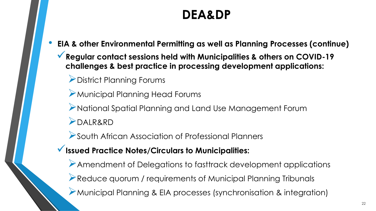- **EIA & other Environmental Permitting as well as Planning Processes (continue)**
	- ✓**Regular contact sessions held with Municipalities & others on COVID-19 challenges & best practice in processing development applications:**
		- ➢District Planning Forums
		- ➢Municipal Planning Head Forums
		- ➢National Spatial Planning and Land Use Management Forum ➢DALR&RD
		- ➢South African Association of Professional Planners
	- ✓**Issued Practice Notes/Circulars to Municipalities:** 
		- ➢Amendment of Delegations to fasttrack development applications
		- ➢Reduce quorum / requirements of Municipal Planning Tribunals
		- ➢Municipal Planning & EIA processes (synchronisation & integration)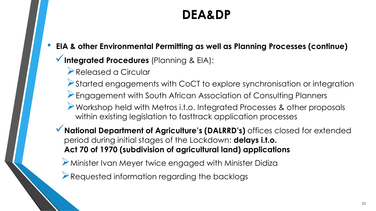- **EIA & other Environmental Permitting as well as Planning Processes (continue)**
	- ✓**Integrated Procedures** (Planning & EIA):
		- ➢Released a Circular
		- ➢Started engagements with CoCT to explore synchronisation or integration
		- ➢Engagement with South African Association of Consulting Planners
		- ➢Workshop held with Metros i.t.o. Integrated Processes & other proposals within existing legislation to fasttrack application processes
	- ✓**National Department of Agriculture's (DALRRD's)** offices closed for extended period during initial stages of the Lockdown: **delays i.t.o. Act 70 of 1970 (subdivision of agricultural land) applications**
		- ➢Minister Ivan Meyer twice engaged with Minister Didiza
		- ➢Requested information regarding the backlogs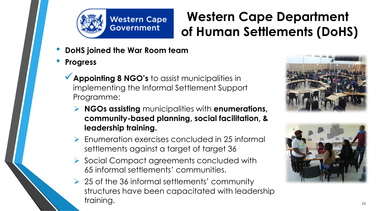

## **Western Cape Department of Human Settlements (DoHS)**

- **DoHS joined the War Room team**
- **Progress**
	- ✓**Appointing 8 NGO's** to assist municipalities in implementing the Informal Settlement Support Programme:
		- ➢ **NGOs assisting** municipalities with **enumerations, community-based planning, social facilitation, & leadership training.**
		- ➢ Enumeration exercises concluded in 25 informal settlements against a target of target 36
		- ➢ Social Compact agreements concluded with 65 informal settlements' communities.
		- ➢ 25 of the 36 informal settlements' community structures have been capacitated with leadership training.



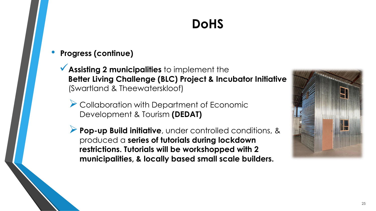# **DoHS**

- **Progress (continue)**
	- ✓**Assisting 2 municipalities** to implement the **Better Living Challenge (BLC) Project & Incubator Initiative**  (Swartland & Theewaterskloof)
		- ➢ Collaboration with Department of Economic Development & Tourism **(DEDAT)**
		- ➢**Pop-up Build initiative**, under controlled conditions, & produced a **series of tutorials during lockdown restrictions. Tutorials will be workshopped with 2 municipalities, & locally based small scale builders.**

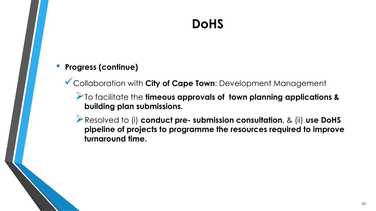# **DoHS**

#### • **Progress (continue)**

✓Collaboration with **City of Cape Town**: Development Management

➢To facilitate the **timeous approvals of town planning applications & building plan submissions.**

➢Resolved to (i) **conduct pre- submission consultation**, & (ii) **use DoHS pipeline of projects to programme the resources required to improve turnaround time.**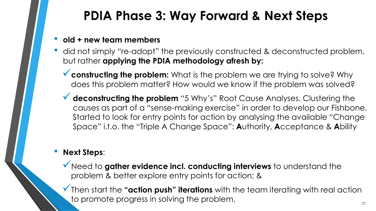## **PDIA Phase 3: Way Forward & Next Steps**

#### • **old + new team members**

- did not simply "re-adopt" the previously constructed & deconstructed problem, but rather **applying the PDIA methodology afresh by:** 
	- ✓**constructing the problem:** What is the problem we are trying to solve? Why does this problem matter? How would we know if the problem was solved?
	- ◆ deconstructing the problem "5 Why's" Root Cause Analyses. Clustering the causes as part of a "sense-making exercise" in order to develop our Fishbone. Started to look for entry points for action by analysing the available "Change Space" i.t.o. the "Triple A Change Space": **A**uthority, **A**cceptance & **A**bility

#### • **Next Steps**:

- ✓Need to **gather evidence incl. conducting interviews** to understand the problem & better explore entry points for action; &
- ✓Then start the **"action push" iterations** with the team iterating with real action to promote progress in solving the problem.